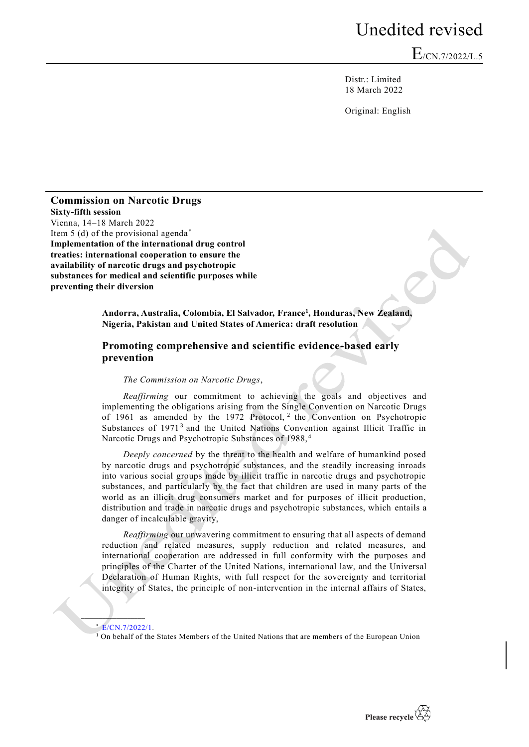## Unedited revised

 $E_{/CN.7/2022/L.5}$ 

Distr.: Limited 18 March 2022

Original: English

**Commission on Narcotic Drugs Sixty-fifth session** Vienna, 14–18 March 2022 Item 5 (d) of the provisional agenda<sup>\*</sup> **Implementation of the international drug control treaties: international cooperation to ensure the availability of narcotic drugs and psychotropic substances for medical and scientific purposes while preventing their diversion**

> **Andorra, Australia, Colombia, El Salvador, France<sup>1</sup> , Honduras, New Zealand, Nigeria, Pakistan and United States of America: draft resolution**

## **Promoting comprehensive and scientific evidence-based early prevention**

*The Commission on Narcotic Drugs*,

*Reaffirming* our commitment to achieving the goals and objectives and implementing the obligations arising from the Single Convention on Narcotic Drugs of 1961 as amended by the 1972 Protocol, <sup>2</sup> the Convention on Psychotropic Substances of 1971<sup>3</sup> and the United Nations Convention against Illicit Traffic in Narcotic Drugs and Psychotropic Substances of 1988, <sup>4</sup>

*Deeply concerned* by the threat to the health and welfare of humankind posed by narcotic drugs and psychotropic substances, and the steadily increasing inroads into various social groups made by illicit traffic in narcotic drugs and psychotropic substances, and particularly by the fact that children are used in many parts of the world as an illicit drug consumers market and for purposes of illicit production, distribution and trade in narcotic drugs and psychotropic substances, which entails a danger of incalculable gravity,

*Reaffirming* our unwavering commitment to ensuring that all aspects of demand reduction and related measures, supply reduction and related measures, and international cooperation are addressed in full conformity with the purposes and principles of the Charter of the United Nations, international law, and the Universal Declaration of Human Rights, with full respect for the sovereignty and territorial integrity of States, the principle of non-intervention in the internal affairs of States,

\* [E/CN.7/2022/1.](https://undocs.org/E/CN.7/2022/1)

**\_\_\_\_\_\_\_\_\_\_\_\_\_\_\_\_\_\_**

<sup>1</sup> On behalf of the States Members of the United Nations that are members of the European Union

Please recycle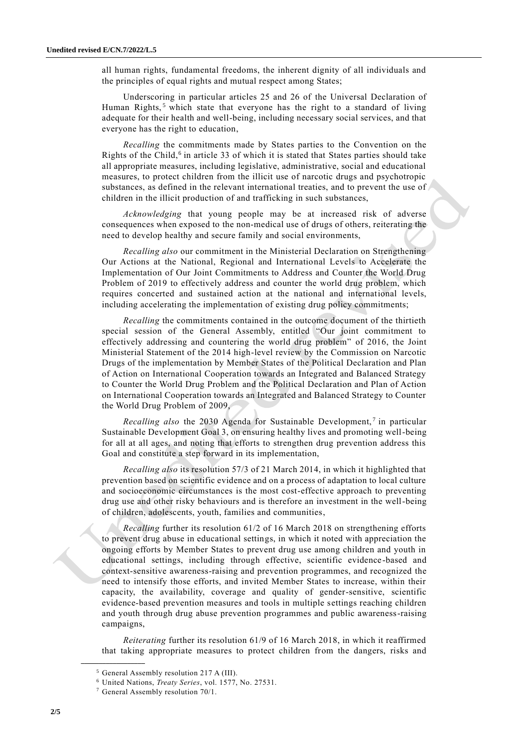all human rights, fundamental freedoms, the inherent dignity of all individuals and the principles of equal rights and mutual respect among States;

Underscoring in particular articles 25 and 26 of the Universal Declaration of Human Rights,<sup>5</sup> which state that everyone has the right to a standard of living adequate for their health and well-being, including necessary social services, and that everyone has the right to education,

*Recalling* the commitments made by States parties to the Convention on the Rights of the Child,<sup>6</sup> in article 33 of which it is stated that States parties should take all appropriate measures, including legislative, administrative, social and educational measures, to protect children from the illicit use of narcotic drugs and psychotropic substances, as defined in the relevant international treaties, and to prevent the use of children in the illicit production of and trafficking in such substances,

*Acknowledging* that young people may be at increased risk of adverse consequences when exposed to the non-medical use of drugs of others, reiterating the need to develop healthy and secure family and social environments,

*Recalling also* our commitment in the Ministerial Declaration on Strengthening Our Actions at the National, Regional and International Levels to Accelerate the Implementation of Our Joint Commitments to Address and Counter the World Drug Problem of 2019 to effectively address and counter the world drug problem, which requires concerted and sustained action at the national and international levels, including accelerating the implementation of existing drug policy commitments;

*Recalling* the commitments contained in the outcome document of the thirtieth special session of the General Assembly, entitled "Our joint commitment to effectively addressing and countering the world drug problem" of 2016, the Joint Ministerial Statement of the 2014 high-level review by the Commission on Narcotic Drugs of the implementation by Member States of the Political Declaration and Plan of Action on International Cooperation towards an Integrated and Balanced Strategy to Counter the World Drug Problem and the Political Declaration and Plan of Action on International Cooperation towards an Integrated and Balanced Strategy to Counter the World Drug Problem of 2009,

Recalling also the 2030 Agenda for Sustainable Development,<sup>7</sup> in particular Sustainable Development Goal 3, on ensuring healthy lives and promoting well-being for all at all ages, and noting that efforts to strengthen drug prevention address this Goal and constitute a step forward in its implementation,

*Recalling also* its resolution 57/3 of 21 March 2014, in which it highlighted that prevention based on scientific evidence and on a process of adaptation to local culture and socioeconomic circumstances is the most cost-effective approach to preventing drug use and other risky behaviours and is therefore an investment in the well-being of children, adolescents, youth, families and communities,

*Recalling* further its resolution 61/2 of 16 March 2018 on strengthening efforts to prevent drug abuse in educational settings, in which it noted with appreciation the ongoing efforts by Member States to prevent drug use among children and youth in educational settings, including through effective, scientific evidence -based and context-sensitive awareness-raising and prevention programmes, and recognized the need to intensify those efforts, and invited Member States to increase, within their capacity, the availability, coverage and quality of gender-sensitive, scientific evidence-based prevention measures and tools in multiple settings reaching children and youth through drug abuse prevention programmes and public awareness-raising campaigns,

*Reiterating* further its resolution 61/9 of 16 March 2018, in which it reaffirmed that taking appropriate measures to protect children from the dangers, risks and

**\_\_\_\_\_\_\_\_\_\_\_\_\_\_\_\_\_\_**

<sup>5</sup> General Assembly resolution 217 A (III).

<sup>6</sup> United Nations, *Treaty Series*, vol. 1577, No. 27531.

 $7$  General Assembly resolution  $70/1$ .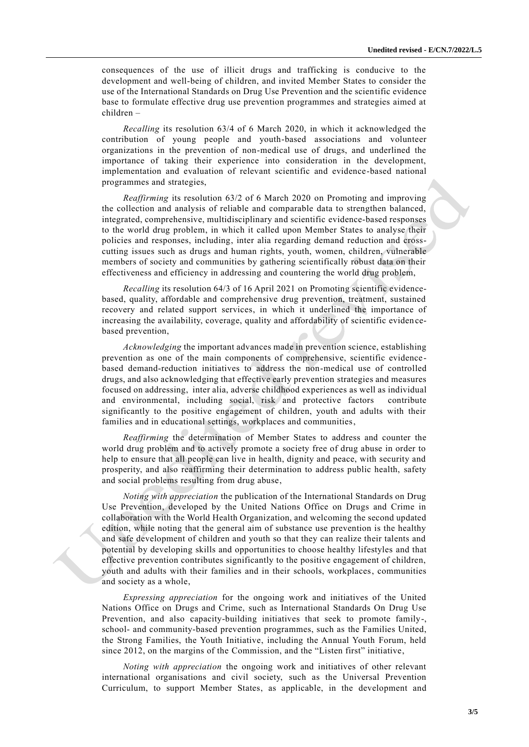consequences of the use of illicit drugs and trafficking is conducive to the development and well-being of children, and invited Member States to consider the use of the International Standards on Drug Use Prevention and the scientific evidence base to formulate effective drug use prevention programmes and strategies aimed at children –

*Recalling* its resolution 63/4 of 6 March 2020, in which it acknowledged the contribution of young people and youth-based associations and volunteer organizations in the prevention of non-medical use of drugs, and underlined the importance of taking their experience into consideration in the development, implementation and evaluation of relevant scientific and evidence-based national programmes and strategies,

*Reaffirming* its resolution 63/2 of 6 March 2020 on Promoting and improving the collection and analysis of reliable and comparable data to strengthen balanced, integrated, comprehensive, multidisciplinary and scientific evidence-based responses to the world drug problem, in which it called upon Member States to analyse their policies and responses, including, inter alia regarding demand reduction and crosscutting issues such as drugs and human rights, youth, women, children, vulnerable members of society and communities by gathering scientifically robust data on their effectiveness and efficiency in addressing and countering the world drug problem,

*Recalling* its resolution 64/3 of 16 April 2021 on Promoting scientific evidencebased, quality, affordable and comprehensive drug prevention, treatment, sustained recovery and related support services, in which it underlined the importance of increasing the availability, coverage, quality and affordability of scientific eviden cebased prevention,

*Acknowledging* the important advances made in prevention science, establishing prevention as one of the main components of comprehensive, scientific evidence based demand-reduction initiatives to address the non-medical use of controlled drugs, and also acknowledging that effective early prevention strategies and measures focused on addressing, inter alia, adverse childhood experiences as well as individual and environmental, including social, risk and protective factors contribute significantly to the positive engagement of children, youth and adults with their families and in educational settings, workplaces and communities,

*Reaffirming* the determination of Member States to address and counter the world drug problem and to actively promote a society free of drug abuse in order to help to ensure that all people can live in health, dignity and peace, with security and prosperity, and also reaffirming their determination to address public health, safety and social problems resulting from drug abuse,

*Noting with appreciation* the publication of the International Standards on Drug Use Prevention, developed by the United Nations Office on Drugs and Crime in collaboration with the World Health Organization, and welcoming the second updated edition, while noting that the general aim of substance use prevention is the healthy and safe development of children and youth so that they can realize their talents and potential by developing skills and opportunities to choose healthy lifestyles and that effective prevention contributes significantly to the positive engagement of children, youth and adults with their families and in their schools, workplaces, communities and society as a whole,

*Expressing appreciation* for the ongoing work and initiatives of the United Nations Office on Drugs and Crime, such as International Standards On Drug Use Prevention, and also capacity-building initiatives that seek to promote family-, school- and community-based prevention programmes, such as the Families United, the Strong Families, the Youth Initiative, including the Annual Youth Forum, held since 2012, on the margins of the Commission, and the "Listen first" initiative,

*Noting with appreciation* the ongoing work and initiatives of other relevant international organisations and civil society, such as the Universal Prevention Curriculum, to support Member States, as applicable, in the development and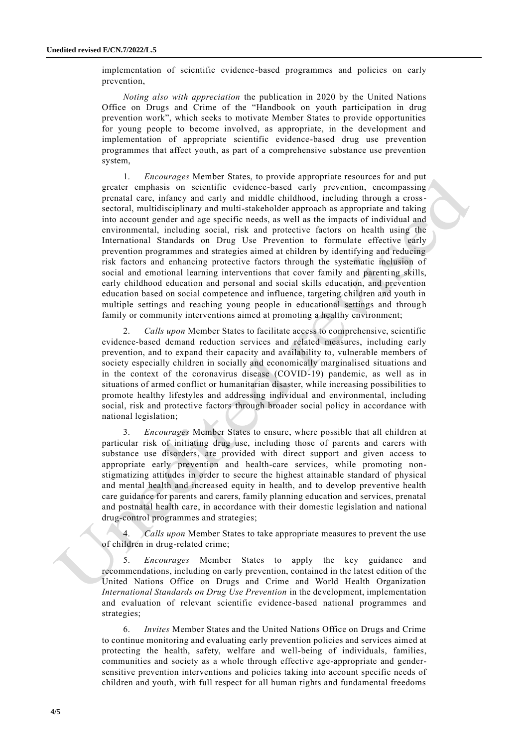implementation of scientific evidence-based programmes and policies on early prevention,

*Noting also with appreciation* the publication in 2020 by the United Nations Office on Drugs and Crime of the "Handbook on youth participation in drug prevention work", which seeks to motivate Member States to provide opportunities for young people to become involved, as appropriate, in the development and implementation of appropriate scientific evidence-based drug use prevention programmes that affect youth, as part of a comprehensive substance use prevention system,

1. *Encourages* Member States, to provide appropriate resources for and put greater emphasis on scientific evidence-based early prevention, encompassing prenatal care, infancy and early and middle childhood, including through a crosssectoral, multidisciplinary and multi-stakeholder approach as appropriate and taking into account gender and age specific needs, as well as the impacts of individual and environmental, including social, risk and protective factors on health using the International Standards on Drug Use Prevention to formulate effective early prevention programmes and strategies aimed at children by identifying and reducing risk factors and enhancing protective factors through the systematic inclusion of social and emotional learning interventions that cover family and parenting skills, early childhood education and personal and social skills education, and prevention education based on social competence and influence, targeting children and youth in multiple settings and reaching young people in educational settings and through family or community interventions aimed at promoting a healthy environment;

2. *Calls upon* Member States to facilitate access to comprehensive, scientific evidence-based demand reduction services and related measures, including early prevention, and to expand their capacity and availability to, vulnerable members of society especially children in socially and economically marginalised situations and in the context of the coronavirus disease (COVID-19) pandemic, as well as in situations of armed conflict or humanitarian disaster, while increasing possibilities to promote healthy lifestyles and addressing individual and environmental, including social, risk and protective factors through broader social policy in accordance with national legislation;

3. *Encourages* Member States to ensure, where possible that all children at particular risk of initiating drug use, including those of parents and carers with substance use disorders, are provided with direct support and given access to appropriate early prevention and health-care services, while promoting nonstigmatizing attitudes in order to secure the highest attainable standard of physical and mental health and increased equity in health, and to develop preventive health care guidance for parents and carers, family planning education and services, prenatal and postnatal health care, in accordance with their domestic legislation and national drug-control programmes and strategies;

4. *Calls upon* Member States to take appropriate measures to prevent the use of children in drug-related crime;

5. *Encourages* Member States to apply the key guidance and recommendations, including on early prevention, contained in the latest edition of the United Nations Office on Drugs and Crime and World Health Organization *International Standards on Drug Use Prevention* in the development, implementation and evaluation of relevant scientific evidence-based national programmes and strategies;

6. *Invites* Member States and the United Nations Office on Drugs and Crime to continue monitoring and evaluating early prevention policies and services aimed at protecting the health, safety, welfare and well-being of individuals, families, communities and society as a whole through effective age-appropriate and gendersensitive prevention interventions and policies taking into account specific needs of children and youth, with full respect for all human rights and fundamental freedoms